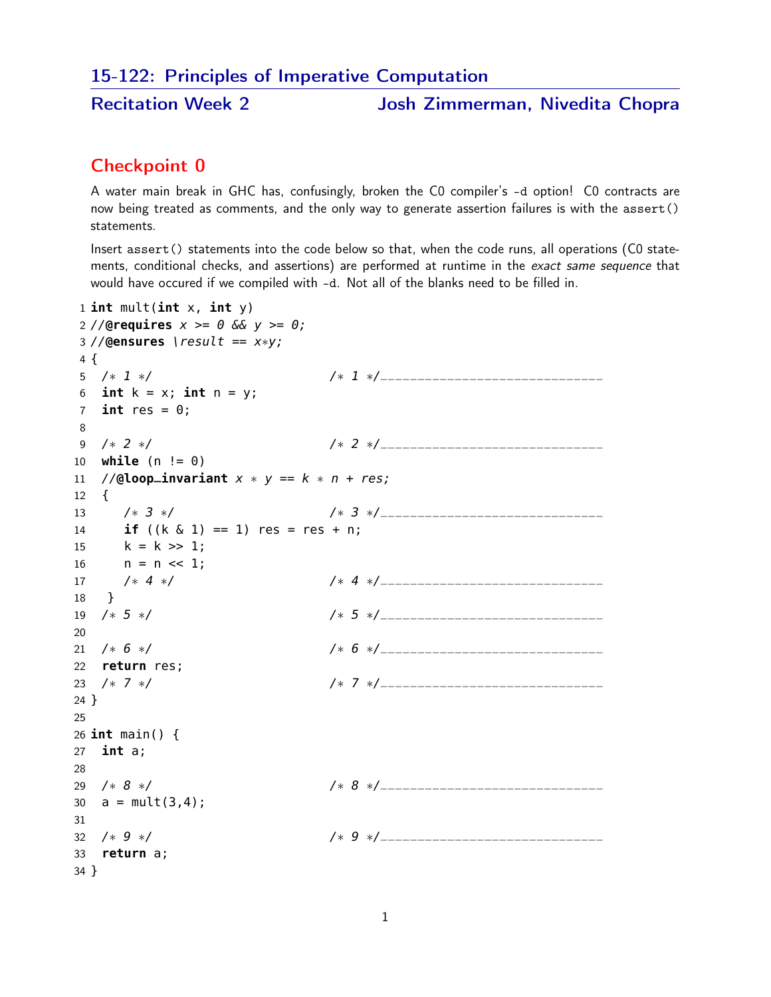#### 15-122: Principles of Imperative Computation

# Recitation Week 2 Josh Zimmerman, Nivedita Chopra

## Checkpoint 0

A water main break in GHC has, confusingly, broken the C0 compiler's -d option! C0 contracts are now being treated as comments, and the only way to generate assertion failures is with the assert() statements.

Insert assert() statements into the code below so that, when the code runs, all operations (C0 statements, conditional checks, and assertions) are performed at runtime in the exact same sequence that would have occured if we compiled with -d. Not all of the blanks need to be filled in.

```
1 int mult(int x, int y)
2 //@requires x >= 0 && y >= 0;
3 //@ensures \result == x∗y;
4 {
5 /∗ 1 ∗/ /∗ 1 ∗/______________________________
6 int k = x; int n = y;
7 int res = 0;
8
9 /* 2*/10 while (n != 0)
11 //@loop_invariant x * y == k * n + res;12 \quad13 /∗ 3 ∗/ /∗ 3 ∗/______________________________
14 if ((k \& 1) == 1) res = res + n;
15 k = k \gg 1;
16 n = n \ll 1;
17 /* 4*/... /* 4 */... /* 4 */... /* 4*/... *118 }
19 /∗ 5 ∗/ /∗ 5 ∗/______________________________
20
21 /∗ 6 ∗/ /∗ 6 ∗/______________________________
22 return res;
23 /∗ 7 ∗/ /∗ 7 ∗/______________________________
24 }
25
26 int main() {
27 int a;
28
29 /∗ 8 ∗/ /∗ 8 ∗/
30 a = mult(3, 4);31
32 /∗ 9 ∗/ /∗ 9 ∗/______________________________
33 return a;
34 }
```